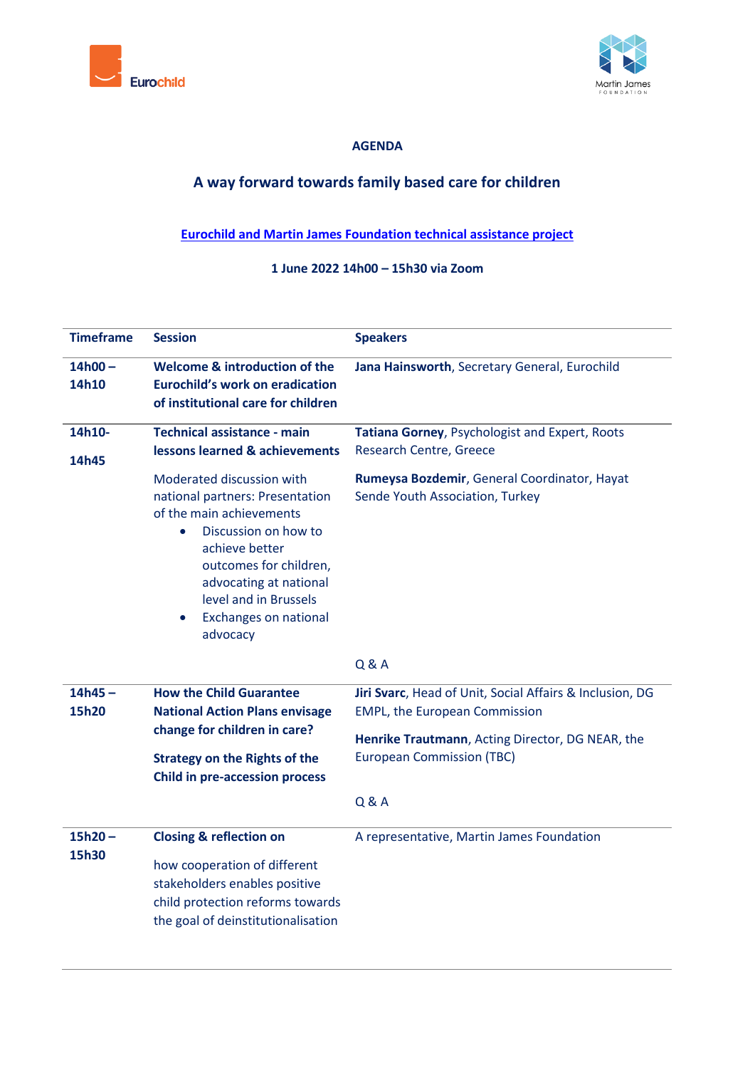



### **AGENDA**

# **A way forward towards family based care for children**

## **[Eurochild and Martin James Foundation technical assistance project](https://www.eurochild.org/news/a-new-push-for-child-protection-reforms-in-greece-and-turkey/)**

### **1 June 2022 14h00 – 15h30 via Zoom**

| <b>Timeframe</b>   | <b>Session</b>                                                                                                                                                                                                                                                                                                                                                           | <b>Speakers</b>                                                                                                                                                                                              |
|--------------------|--------------------------------------------------------------------------------------------------------------------------------------------------------------------------------------------------------------------------------------------------------------------------------------------------------------------------------------------------------------------------|--------------------------------------------------------------------------------------------------------------------------------------------------------------------------------------------------------------|
| $14h00 -$<br>14h10 | Welcome & introduction of the<br><b>Eurochild's work on eradication</b><br>of institutional care for children                                                                                                                                                                                                                                                            | Jana Hainsworth, Secretary General, Eurochild                                                                                                                                                                |
| 14h10-<br>14h45    | <b>Technical assistance - main</b><br><b>lessons learned &amp; achievements</b><br>Moderated discussion with<br>national partners: Presentation<br>of the main achievements<br>Discussion on how to<br>$\bullet$<br>achieve better<br>outcomes for children,<br>advocating at national<br>level and in Brussels<br><b>Exchanges on national</b><br>$\bullet$<br>advocacy | Tatiana Gorney, Psychologist and Expert, Roots<br>Research Centre, Greece<br>Rumeysa Bozdemir, General Coordinator, Hayat<br>Sende Youth Association, Turkey                                                 |
|                    |                                                                                                                                                                                                                                                                                                                                                                          | <b>Q &amp; A</b>                                                                                                                                                                                             |
| $14h45 -$<br>15h20 | <b>How the Child Guarantee</b><br><b>National Action Plans envisage</b><br>change for children in care?<br><b>Strategy on the Rights of the</b><br><b>Child in pre-accession process</b>                                                                                                                                                                                 | Jiri Svarc, Head of Unit, Social Affairs & Inclusion, DG<br><b>EMPL, the European Commission</b><br>Henrike Trautmann, Acting Director, DG NEAR, the<br><b>European Commission (TBC)</b><br><b>Q &amp; A</b> |
| $15h20 -$<br>15h30 | <b>Closing &amp; reflection on</b><br>how cooperation of different<br>stakeholders enables positive<br>child protection reforms towards<br>the goal of deinstitutionalisation                                                                                                                                                                                            | A representative, Martin James Foundation                                                                                                                                                                    |